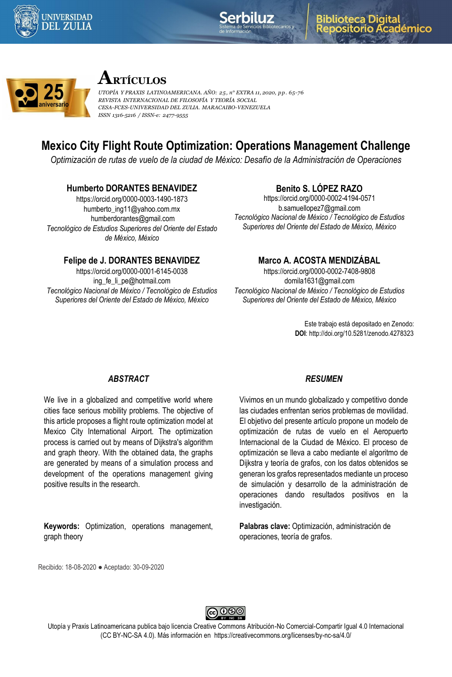





# **ARTÍCULOS**

*UTOPÍA Y PRAXIS LATINOAMERICANA. AÑO: 25, n° EXTRA 11, 2020, pp. 65-76 REVISTA INTERNACIONAL DE FILOSOFÍA Y TEORÍA SOCIAL CESA-FCES-UNIVERSIDAD DEL ZULIA. MARACAIBO-VENEZUELA ISSN 1316-5216 / ISSN-e: 2477-9555*

# **Mexico City Flight Route Optimization: Operations Management Challenge**

*Optimización de rutas de vuelo de la ciudad de México: Desafío de la Administración de Operaciones*

## **Humberto DORANTES BENAVIDEZ**

https://orcid.org/0000-0003-1490-1873 humberto\_ing11@yahoo.com.mx humberdorantes@gmail.com *Tecnológico de Estudios Superiores del Oriente del Estado de México, México*

# **Benito S. LÓPEZ RAZO**

https://orcid.org/0000-0002-4194-0571 b.samuellopez7@gmail.com *Tecnológico Nacional de México / Tecnológico de Estudios Superiores del Oriente del Estado de México, México*

## **Felipe de J. DORANTES BENAVIDEZ**

https://orcid.org/0000-0001-6145-0038 ing\_fe\_li\_pe@hotmail.com *Tecnológico Nacional de México / Tecnológico de Estudios Superiores del Oriente del Estado de México, México*

# **Marco A. ACOSTA MENDIZÁBAL**

https://orcid.org/0000-0002-7408-9808 domila1631@gmail.com *Tecnológico Nacional de México / Tecnológico de Estudios Superiores del Oriente del Estado de México, México*

> Este trabajo está depositado en Zenodo: **DOI**: http://doi.org/10.5281/zenodo.4278323

#### *ABSTRACT*

We live in a globalized and competitive world where cities face serious mobility problems. The objective of this article proposes a flight route optimization model at Mexico City International Airport. The optimization process is carried out by means of Dijkstra's algorithm and graph theory. With the obtained data, the graphs are generated by means of a simulation process and development of the operations management giving positive results in the research.

**Keywords:** Optimization, operations management, graph theory

#### *RESUMEN*

Vivimos en un mundo globalizado y competitivo donde las ciudades enfrentan serios problemas de movilidad. El objetivo del presente artículo propone un modelo de optimización de rutas de vuelo en el Aeropuerto Internacional de la Ciudad de México. El proceso de optimización se lleva a cabo mediante el algoritmo de Dijkstra y teoría de grafos, con los datos obtenidos se generan los grafos representados mediante un proceso de simulación y desarrollo de la administración de operaciones dando resultados positivos en la investigación.

**Palabras clave:** Optimización, administración de operaciones, teoría de grafos.

Recibido: 18-08-2020 ● Aceptado: 30-09-2020



Utopía y Praxis Latinoamericana publica bajo licencia Creative Commons Atribución-No Comercial-Compartir Igual 4.0 Internacional (CC BY-NC-SA 4.0). Más información en https://creativecommons.org/licenses/by-nc-sa/4.0/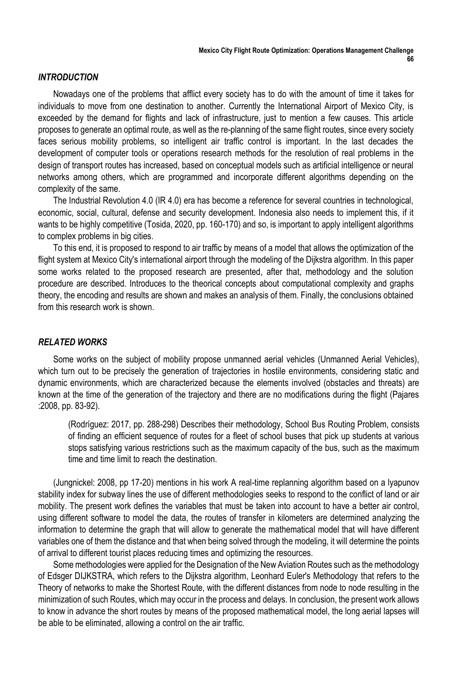#### *INTRODUCTION*

Nowadays one of the problems that afflict every society has to do with the amount of time it takes for individuals to move from one destination to another. Currently the International Airport of Mexico City, is exceeded by the demand for flights and lack of infrastructure, just to mention a few causes. This article proposes to generate an optimal route, as well as the re-planning of the same flight routes, since every society faces serious mobility problems, so intelligent air traffic control is important. In the last decades the development of computer tools or operations research methods for the resolution of real problems in the design of transport routes has increased, based on conceptual models such as artificial intelligence or neural networks among others, which are programmed and incorporate different algorithms depending on the complexity of the same.

The Industrial Revolution 4.0 (IR 4.0) era has become a reference for several countries in technological, economic, social, cultural, defense and security development. Indonesia also needs to implement this, if it wants to be highly competitive (Tosida, 2020, pp. 160-170) and so, is important to apply intelligent algorithms to complex problems in big cities.

To this end, it is proposed to respond to air traffic by means of a model that allows the optimization of the flight system at Mexico City's international airport through the modeling of the Dijkstra algorithm. In this paper some works related to the proposed research are presented, after that, methodology and the solution procedure are described. Introduces to the theorical concepts about computational complexity and graphs theory, the encoding and results are shown and makes an analysis of them. Finally, the conclusions obtained from this research work is shown.

#### *RELATED WORKS*

Some works on the subject of mobility propose unmanned aerial vehicles (Unmanned Aerial Vehicles), which turn out to be precisely the generation of trajectories in hostile environments, considering static and dynamic environments, which are characterized because the elements involved (obstacles and threats) are known at the time of the generation of the trajectory and there are no modifications during the flight (Pajares :2008, pp. 83-92).

(Rodríguez: 2017, pp. 288-298) Describes their methodology, School Bus Routing Problem, consists of finding an efficient sequence of routes for a fleet of school buses that pick up students at various stops satisfying various restrictions such as the maximum capacity of the bus, such as the maximum time and time limit to reach the destination.

(Jungnickel: 2008, pp 17-20) mentions in his work A real-time replanning algorithm based on a lyapunov stability index for subway lines the use of different methodologies seeks to respond to the conflict of land or air mobility. The present work defines the variables that must be taken into account to have a better air control, using different software to model the data, the routes of transfer in kilometers are determined analyzing the information to determine the graph that will allow to generate the mathematical model that will have different variables one of them the distance and that when being solved through the modeling, it will determine the points of arrival to different tourist places reducing times and optimizing the resources.

Some methodologies were applied for the Designation of the New Aviation Routes such as the methodology of Edsger DIJKSTRA, which refers to the Dijkstra algorithm, Leonhard Euler's Methodology that refers to the Theory of networks to make the Shortest Route, with the different distances from node to node resulting in the minimization of such Routes, which may occur in the process and delays. In conclusion, the present work allows to know in advance the short routes by means of the proposed mathematical model, the long aerial lapses will be able to be eliminated, allowing a control on the air traffic.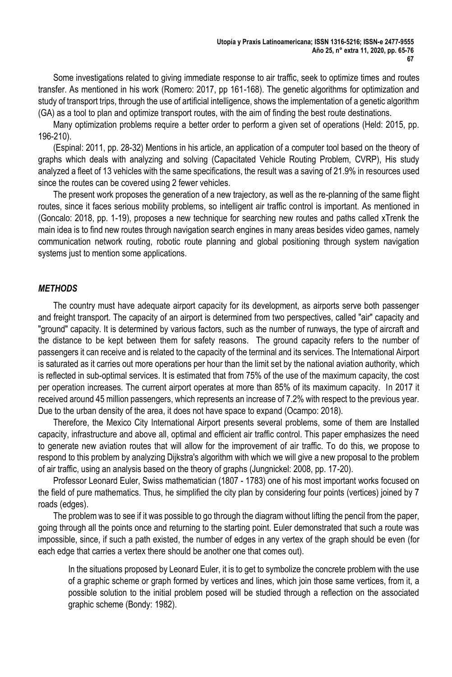Some investigations related to giving immediate response to air traffic, seek to optimize times and routes transfer. As mentioned in his work (Romero: 2017, pp 161-168). The genetic algorithms for optimization and study of transport trips, through the use of artificial intelligence, shows the implementation of a genetic algorithm (GA) as a tool to plan and optimize transport routes, with the aim of finding the best route destinations.

Many optimization problems require a better order to perform a given set of operations (Held: 2015, pp. 196-210).

(Espinal: 2011, pp. 28-32) Mentions in his article, an application of a computer tool based on the theory of graphs which deals with analyzing and solving (Capacitated Vehicle Routing Problem, CVRP), His study analyzed a fleet of 13 vehicles with the same specifications, the result was a saving of 21.9% in resources used since the routes can be covered using 2 fewer vehicles.

The present work proposes the generation of a new trajectory, as well as the re-planning of the same flight routes, since it faces serious mobility problems, so intelligent air traffic control is important. As mentioned in (Goncalo: 2018, pp. 1-19), proposes a new technique for searching new routes and paths called xTrenk the main idea is to find new routes through navigation search engines in many areas besides video games, namely communication network routing, robotic route planning and global positioning through system navigation systems just to mention some applications.

#### *METHODS*

The country must have adequate airport capacity for its development, as airports serve both passenger and freight transport. The capacity of an airport is determined from two perspectives, called "air" capacity and "ground" capacity. It is determined by various factors, such as the number of runways, the type of aircraft and the distance to be kept between them for safety reasons. The ground capacity refers to the number of passengers it can receive and is related to the capacity of the terminal and its services. The International Airport is saturated as it carries out more operations per hour than the limit set by the national aviation authority, which is reflected in sub-optimal services. It is estimated that from 75% of the use of the maximum capacity, the cost per operation increases. The current airport operates at more than 85% of its maximum capacity. In 2017 it received around 45 million passengers, which represents an increase of 7.2% with respect to the previous year. Due to the urban density of the area, it does not have space to expand (Ocampo: 2018).

Therefore, the Mexico City International Airport presents several problems, some of them are Installed capacity, infrastructure and above all, optimal and efficient air traffic control. This paper emphasizes the need to generate new aviation routes that will allow for the improvement of air traffic. To do this, we propose to respond to this problem by analyzing Dijkstra's algorithm with which we will give a new proposal to the problem of air traffic, using an analysis based on the theory of graphs (Jungnickel: 2008, pp. 17-20).

Professor Leonard Euler, Swiss mathematician (1807 - 1783) one of his most important works focused on the field of pure mathematics. Thus, he simplified the city plan by considering four points (vertices) joined by 7 roads (edges).

The problem was to see if it was possible to go through the diagram without lifting the pencil from the paper, going through all the points once and returning to the starting point. Euler demonstrated that such a route was impossible, since, if such a path existed, the number of edges in any vertex of the graph should be even (for each edge that carries a vertex there should be another one that comes out).

In the situations proposed by Leonard Euler, it is to get to symbolize the concrete problem with the use of a graphic scheme or graph formed by vertices and lines, which join those same vertices, from it, a possible solution to the initial problem posed will be studied through a reflection on the associated graphic scheme (Bondy: 1982).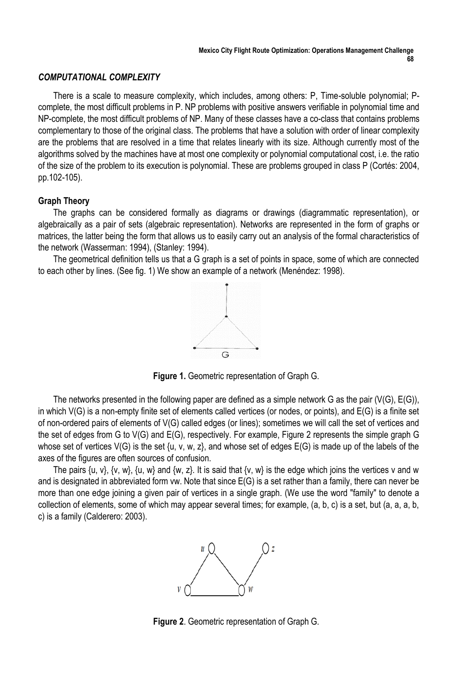#### *COMPUTATIONAL COMPLEXITY*

There is a scale to measure complexity, which includes, among others: P, Time-soluble polynomial; Pcomplete, the most difficult problems in P. NP problems with positive answers verifiable in polynomial time and NP-complete, the most difficult problems of NP. Many of these classes have a co-class that contains problems complementary to those of the original class. The problems that have a solution with order of linear complexity are the problems that are resolved in a time that relates linearly with its size. Although currently most of the algorithms solved by the machines have at most one complexity or polynomial computational cost, i.e. the ratio of the size of the problem to its execution is polynomial. These are problems grouped in class P (Cortés: 2004, pp.102-105).

## **Graph Theory**

The graphs can be considered formally as diagrams or drawings (diagrammatic representation), or algebraically as a pair of sets (algebraic representation). Networks are represented in the form of graphs or matrices, the latter being the form that allows us to easily carry out an analysis of the formal characteristics of the network (Wasserman: 1994), (Stanley: 1994).

The geometrical definition tells us that a G graph is a set of points in space, some of which are connected to each other by lines. (See fig. 1) We show an example of a network (Menéndez: 1998).



**Figure 1.** Geometric representation of Graph G.

The networks presented in the following paper are defined as a simple network G as the pair (V(G), E(G)), in which V(G) is a non-empty finite set of elements called vertices (or nodes, or points), and E(G) is a finite set of non-ordered pairs of elements of V(G) called edges (or lines); sometimes we will call the set of vertices and the set of edges from G to V(G) and E(G), respectively. For example, Figure 2 represents the simple graph G whose set of vertices  $V(G)$  is the set  $\{u, v, w, z\}$ , and whose set of edges  $E(G)$  is made up of the labels of the axes of the figures are often sources of confusion.

The pairs  $\{u, v\}$ ,  $\{v, w\}$ ,  $\{u, w\}$  and  $\{w, z\}$ . It is said that  $\{v, w\}$  is the edge which joins the vertices v and w and is designated in abbreviated form vw. Note that since E(G) is a set rather than a family, there can never be more than one edge joining a given pair of vertices in a single graph. (We use the word "family" to denote a collection of elements, some of which may appear several times; for example, (a, b, c) is a set, but (a, a, a, b, c) is a family (Calderero: 2003).



**Figure 2**. Geometric representation of Graph G.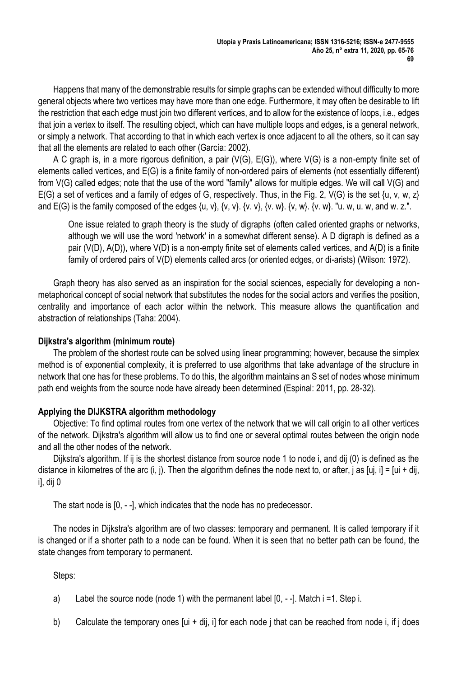Happens that many of the demonstrable results for simple graphs can be extended without difficulty to more general objects where two vertices may have more than one edge. Furthermore, it may often be desirable to lift the restriction that each edge must join two different vertices, and to allow for the existence of loops, i.e., edges that join a vertex to itself. The resulting object, which can have multiple loops and edges, is a general network, or simply a network. That according to that in which each vertex is once adjacent to all the others, so it can say that all the elements are related to each other (García: 2002).

A C graph is, in a more rigorous definition, a pair (V(G), E(G)), where V(G) is a non-empty finite set of elements called vertices, and E(G) is a finite family of non-ordered pairs of elements (not essentially different) from V(G) called edges; note that the use of the word "family" allows for multiple edges. We will call V(G) and E(G) a set of vertices and a family of edges of G, respectively. Thus, in the Fig. 2, V(G) is the set  $\{u, v, w, z\}$ and E(G) is the family composed of the edges  $\{u, v\}$ ,  $\{v, v\}$ ,  $\{v, v\}$ ,  $\{v, w\}$ ,  $\{v, w\}$ .  $\{v, w\}$ . "u. w, u. w, and w. z.".

One issue related to graph theory is the study of digraphs (often called oriented graphs or networks, although we will use the word 'network' in a somewhat different sense). A D digraph is defined as a pair (V(D), A(D)), where V(D) is a non-empty finite set of elements called vertices, and A(D) is a finite family of ordered pairs of V(D) elements called arcs (or oriented edges, or di-arists) (Wilson: 1972).

Graph theory has also served as an inspiration for the social sciences, especially for developing a nonmetaphorical concept of social network that substitutes the nodes for the social actors and verifies the position, centrality and importance of each actor within the network. This measure allows the quantification and abstraction of relationships (Taha: 2004).

## **Dijkstra's algorithm (minimum route)**

The problem of the shortest route can be solved using linear programming; however, because the simplex method is of exponential complexity, it is preferred to use algorithms that take advantage of the structure in network that one has for these problems. To do this, the algorithm maintains an S set of nodes whose minimum path end weights from the source node have already been determined (Espinal: 2011, pp. 28-32).

## **Applying the DIJKSTRA algorithm methodology**

Objective: To find optimal routes from one vertex of the network that we will call origin to all other vertices of the network. Dijkstra's algorithm will allow us to find one or several optimal routes between the origin node and all the other nodes of the network.

Dijkstra's algorithm. If ij is the shortest distance from source node 1 to node i, and dij (0) is defined as the distance in kilometres of the arc (i, j). Then the algorithm defines the node next to, or after, j as [uj, i] = [ui + dij, i], dij 0

The start node is [0, - -], which indicates that the node has no predecessor.

The nodes in Dijkstra's algorithm are of two classes: temporary and permanent. It is called temporary if it is changed or if a shorter path to a node can be found. When it is seen that no better path can be found, the state changes from temporary to permanent.

Steps:

- a) Label the source node (node 1) with the permanent label [0, -]. Match i =1. Step i.
- b) Calculate the temporary ones  $[ui + di]$ , i] for each node j that can be reached from node i, if j does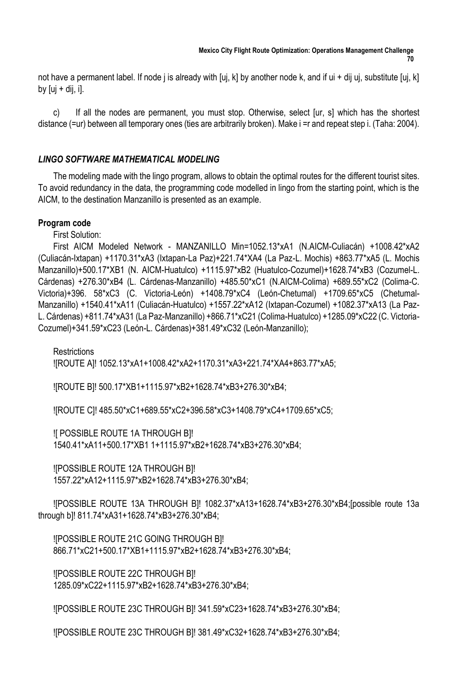not have a permanent label. If node j is already with [uj, k] by another node k, and if ui + dij uj, substitute [uj, k] by  $[ui + dij, il]$ .

c) If all the nodes are permanent, you must stop. Otherwise, select [ur, s] which has the shortest distance (=ur) between all temporary ones (ties are arbitrarily broken). Make i =r and repeat step i. (Taha: 2004).

## *LINGO SOFTWARE MATHEMATICAL MODELING*

The modeling made with the lingo program, allows to obtain the optimal routes for the different tourist sites. To avoid redundancy in the data, the programming code modelled in lingo from the starting point, which is the AICM, to the destination Manzanillo is presented as an example.

## **Program code**

First Solution:

First AICM Modeled Network - MANZANILLO Min=1052.13\*xA1 (N.AICM-Culiacán) +1008.42\*xA2 (Culiacán-Ixtapan) +1170.31\*xA3 (Ixtapan-La Paz)+221.74\*XA4 (La Paz-L. Mochis) +863.77\*xA5 (L. Mochis Manzanillo)+500.17\*XB1 (N. AICM-Huatulco) +1115.97\*xB2 (Huatulco-Cozumel)+1628.74\*xB3 (Cozumel-L. Cárdenas) +276.30\*xB4 (L. Cárdenas-Manzanillo) +485.50\*xC1 (N.AICM-Colima) +689.55\*xC2 (Colima-C. Victoria)+396. 58\*xC3 (C. Victoria-León) +1408.79\*xC4 (León-Chetumal) +1709.65\*xC5 (Chetumal-Manzanillo) +1540.41\*xA11 (Culiacán-Huatulco) +1557.22\*xA12 (Ixtapan-Cozumel) +1082.37\*xA13 (La Paz-L. Cárdenas) +811.74\*xA31 (La Paz-Manzanillo) +866.71\*xC21 (Colima-Huatulco) +1285.09\*xC22 (C. Victoria-Cozumel)+341.59\*xC23 (León-L. Cárdenas)+381.49\*xC32 (León-Manzanillo);

**Restrictions** ![ROUTE A]! 1052.13\*xA1+1008.42\*xA2+1170.31\*xA3+221.74\*XA4+863.77\*xA5;

![ROUTE B]! 500.17\*XB1+1115.97\*xB2+1628.74\*xB3+276.30\*xB4;

![ROUTE C]! 485.50\*xC1+689.55\*xC2+396.58\*xC3+1408.79\*xC4+1709.65\*xC5;

![ POSSIBLE ROUTE 1A THROUGH B]! 1540.41\*xA11+500.17\*XB1 1+1115.97\*xB2+1628.74\*xB3+276.30\*xB4;

![POSSIBLE ROUTE 12A THROUGH B]! 1557.22\*xA12+1115.97\*xB2+1628.74\*xB3+276.30\*xB4;

![POSSIBLE ROUTE 13A THROUGH B]! 1082.37\*xA13+1628.74\*xB3+276.30\*xB4;[possible route 13a through b]! 811.74\*xA31+1628.74\*xB3+276.30\*xB4;

![POSSIBLE ROUTE 21C GOING THROUGH B]! 866.71\*xC21+500.17\*XB1+1115.97\*xB2+1628.74\*xB3+276.30\*xB4;

![POSSIBLE ROUTE 22C THROUGH B]! 1285.09\*xC22+1115.97\*xB2+1628.74\*xB3+276.30\*xB4;

![POSSIBLE ROUTE 23C THROUGH B]! 341.59\*xC23+1628.74\*xB3+276.30\*xB4;

![POSSIBLE ROUTE 23C THROUGH B]! 381.49\*xC32+1628.74\*xB3+276.30\*xB4;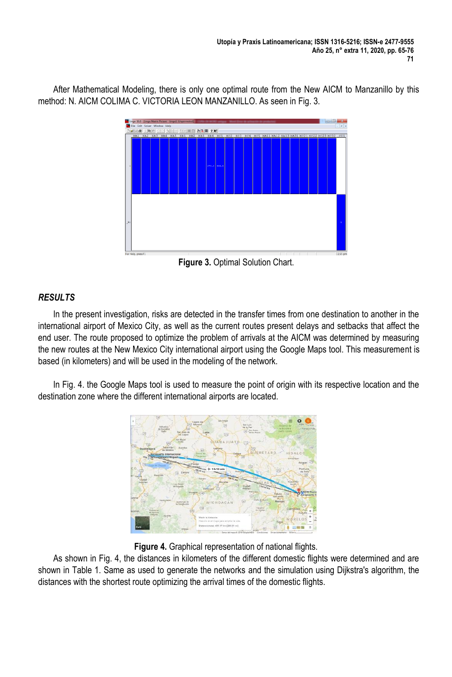After Mathematical Modeling, there is only one optimal route from the New AICM to Manzanillo by this method: N. AICM COLIMA C. VICTORIA LEON MANZANILLO. As seen in Fig. 3.

|  |  |  |  | <u>DISHE XINE OO DIDO SEE O AGE YK</u> |  |  |  |  |  | XA1 XA2 XA3 XA4 XA5 XB1 XB2 XB3 XB4 XC1 XC2 XC3 XC4 XC5 XA11 XA12 XA13 XA31 XC21 XC22 XC23 XC32 C01 |  |
|--|--|--|--|----------------------------------------|--|--|--|--|--|-----------------------------------------------------------------------------------------------------|--|
|  |  |  |  | 276.3 485.5                            |  |  |  |  |  |                                                                                                     |  |
|  |  |  |  |                                        |  |  |  |  |  |                                                                                                     |  |

**Figure 3.** Optimal Solution Chart.

# *RESULTS*

In the present investigation, risks are detected in the transfer times from one destination to another in the international airport of Mexico City, as well as the current routes present delays and setbacks that affect the end user. The route proposed to optimize the problem of arrivals at the AICM was determined by measuring the new routes at the New Mexico City international airport using the Google Maps tool. This measurement is based (in kilometers) and will be used in the modeling of the network.

In Fig. 4. the Google Maps tool is used to measure the point of origin with its respective location and the destination zone where the different international airports are located.



**Figure 4.** Graphical representation of national flights.

As shown in Fig. 4, the distances in kilometers of the different domestic flights were determined and are shown in Table 1. Same as used to generate the networks and the simulation using Dijkstra's algorithm, the distances with the shortest route optimizing the arrival times of the domestic flights.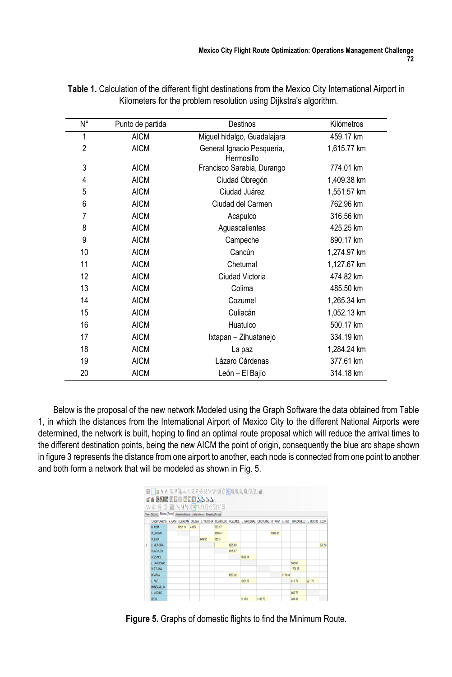| N°             | Punto de partida | <b>Destinos</b>                          | Kilómetros  |
|----------------|------------------|------------------------------------------|-------------|
| 1              | <b>AICM</b>      | Miguel hidalgo, Guadalajara              | 459.17 km   |
| $\overline{2}$ | <b>AICM</b>      | General Ignacio Pesquería,<br>Hermosillo | 1,615.77 km |
| 3              | <b>AICM</b>      | Francisco Sarabia, Durango               | 774.01 km   |
| 4              | <b>AICM</b>      | Ciudad Obregón                           | 1,409.38 km |
| 5              | <b>AICM</b>      | Ciudad Juárez                            | 1,551.57 km |
| 6              | <b>AICM</b>      | Ciudad del Carmen                        | 762.96 km   |
| 7              | <b>AICM</b>      | Acapulco                                 | 316.56 km   |
| 8              | <b>AICM</b>      | Aguascalientes                           | 425.25 km   |
| 9              | <b>AICM</b>      | Campeche                                 | 890.17 km   |
| 10             | <b>AICM</b>      | Cancún                                   | 1,274.97 km |
| 11             | <b>AICM</b>      | Chetumal                                 | 1,127.67 km |
| 12             | <b>AICM</b>      | Ciudad Victoria                          | 474.82 km   |
| 13             | <b>AICM</b>      | Colima                                   | 485.50 km   |
| 14             | <b>AICM</b>      | Cozumel                                  | 1,265.34 km |
| 15             | <b>AICM</b>      | Culiacán                                 | 1,052.13 km |
| 16             | <b>AICM</b>      | Huatulco                                 | 500.17 km   |
| 17             | <b>AICM</b>      | Ixtapan - Zihuatanejo                    | 334.19 km   |
| 18             | <b>AICM</b>      | La paz                                   | 1,284.24 km |
| 19             | <b>AICM</b>      | Lázaro Cárdenas                          | 377.61 km   |
| 20             | <b>AICM</b>      | León - El Bajío                          | 314.18 km   |

**Table 1.** Calculation of the different flight destinations from the Mexico City International Airport in Kilometers for the problem resolution using Dijkstra's algorithm.

Below is the proposal of the new network Modeled using the Graph Software the data obtained from Table 1, in which the distances from the International Airport of Mexico City to the different National Airports were determined, the network is built, hoping to find an optimal route proposal which will reduce the arrival times to the different destination points, being the new AICM the point of origin, consequently the blue arc shape shown in figure 3 represents the distance from one airport to another, each node is connected from one point to another and both form a network that will be modeled as shown in Fig. 5.

| 图 ■90 0 克尼福人才发展中国国民国产区风食风景 瓦克 m                                            |         |      |        |         |         |                                                                                                     |         |         |         |                    |        |        |
|----------------------------------------------------------------------------|---------|------|--------|---------|---------|-----------------------------------------------------------------------------------------------------|---------|---------|---------|--------------------|--------|--------|
| <b>JA RREBE BEB NAAA</b>                                                   |         |      |        |         |         |                                                                                                     |         |         |         |                    |        |        |
| KAGE BYYY ACADEBUR                                                         |         |      |        |         |         |                                                                                                     |         |         |         |                    |        |        |
| Valor (Nodos) Minimo (Arcos) Máximo (Arcos) Coste (Arcos) Eliqueta (Arcos) |         |      |        |         |         |                                                                                                     |         |         |         |                    |        |        |
|                                                                            |         |      |        |         |         | OrigerIDestino N AICM CULIACAN COLIMA C VICTORIA HUATULOO COZUMEL L CARDENAZ CHETUMAL IXTAPAN L PAZ |         |         |         | MANZANLLO L. MOCHS |        | LECN   |
| N. AICM                                                                    | 1052.13 | 4855 |        | 500.17  |         |                                                                                                     |         |         |         |                    |        |        |
| <b>CULIACAN</b>                                                            |         |      |        | 1540.41 |         |                                                                                                     |         | 1008 42 |         |                    |        |        |
| <b>COLIMA</b>                                                              |         |      | 689.55 | 868.71  |         |                                                                                                     |         |         |         |                    |        |        |
| C. VICTORIA                                                                |         |      |        |         | 1285.09 |                                                                                                     |         |         |         |                    |        | 396.58 |
| <b>HUATULCO</b>                                                            |         |      |        |         | 1115.97 |                                                                                                     |         |         |         |                    |        |        |
| COZUMEL                                                                    |         |      |        |         |         | 1628.74                                                                                             |         |         |         |                    |        |        |
| L CARDENAZ                                                                 |         |      |        |         |         |                                                                                                     |         |         |         | 585.67             |        |        |
| <b>CHETUMAL</b>                                                            |         |      |        |         |         |                                                                                                     |         |         |         | 1709.65            |        |        |
| <b>IXTAPAN</b>                                                             |         |      |        |         | 1557.22 |                                                                                                     |         |         | 1170.31 |                    |        |        |
| L PAZ                                                                      |         |      |        |         |         | 1082.37                                                                                             |         |         |         | 811.74             | 221.74 |        |
| <b>MANZANILLO</b>                                                          |         |      |        |         |         |                                                                                                     |         |         |         |                    |        |        |
| L MOOHS                                                                    |         |      |        |         |         |                                                                                                     |         |         |         | 883.77             |        |        |
| <b>LEON</b>                                                                |         |      |        |         |         | 341.59                                                                                              | 1408.79 |         |         | 381.49             |        |        |

**Figure 5.** Graphs of domestic flights to find the Minimum Route.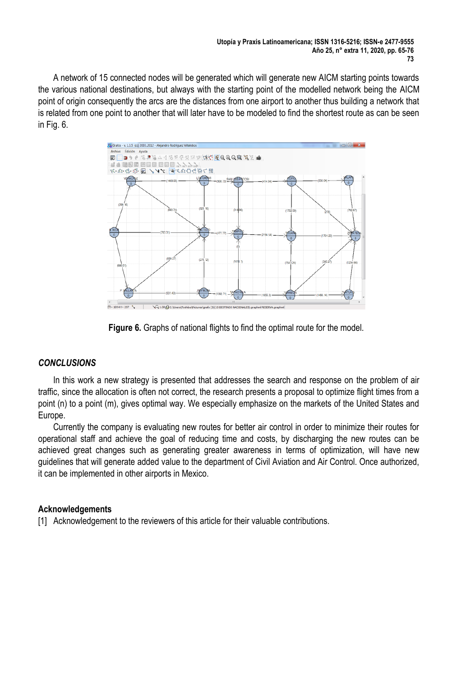A network of 15 connected nodes will be generated which will generate new AICM starting points towards the various national destinations, but always with the starting point of the modelled network being the AICM point of origin consequently the arcs are the distances from one airport to another thus building a network that is related from one point to another that will later have to be modeled to find the shortest route as can be seen in Fig. 6.



**Figure 6.** Graphs of national flights to find the optimal route for the model.

#### *CONCLUSIONS*

In this work a new strategy is presented that addresses the search and response on the problem of air traffic, since the allocation is often not correct, the research presents a proposal to optimize flight times from a point (n) to a point (m), gives optimal way. We especially emphasize on the markets of the United States and Europe.

Currently the company is evaluating new routes for better air control in order to minimize their routes for operational staff and achieve the goal of reducing time and costs, by discharging the new routes can be achieved great changes such as generating greater awareness in terms of optimization, will have new guidelines that will generate added value to the department of Civil Aviation and Air Control. Once authorized, it can be implemented in other airports in Mexico.

#### **Acknowledgements**

[1] Acknowledgement to the reviewers of this article for their valuable contributions.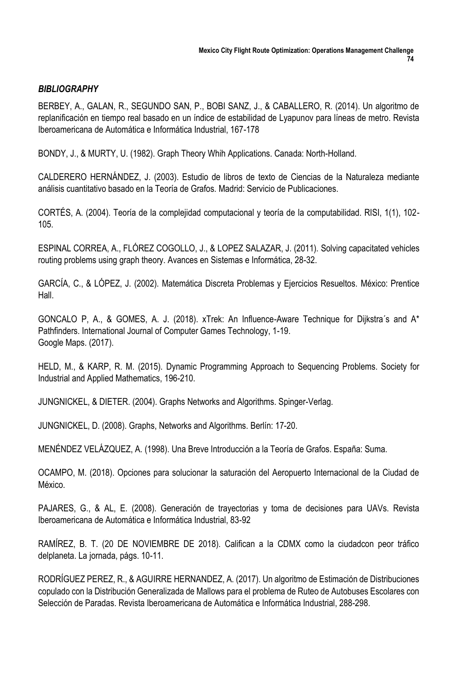## *BIBLIOGRAPHY*

BERBEY, A., GALAN, R., SEGUNDO SAN, P., BOBI SANZ, J., & CABALLERO, R. (2014). Un algoritmo de replanificación en tiempo real basado en un índice de estabilidad de Lyapunov para líneas de metro. Revista Iberoamericana de Automática e Informática Industrial, 167-178

BONDY, J., & MURTY, U. (1982). Graph Theory Whih Applications. Canada: North-Holland.

CALDERERO HERNÁNDEZ, J. (2003). Estudio de libros de texto de Ciencias de la Naturaleza mediante análisis cuantitativo basado en la Teoría de Grafos. Madrid: Servicio de Publicaciones.

CORTÉS, A. (2004). Teoría de la complejidad computacional y teoría de la computabilidad. RISI, 1(1), 102- 105.

ESPINAL CORREA, A., FLÓREZ COGOLLO, J., & LOPEZ SALAZAR, J. (2011). Solving capacitated vehicles routing problems using graph theory. Avances en Sistemas e Informática, 28-32.

GARCÍA, C., & LÓPEZ, J. (2002). Matemática Discreta Problemas y Ejercicios Resueltos. México: Prentice Hall.

GONCALO P, A., & GOMES, A. J. (2018). xTrek: An Influence-Aware Technique for Dijkstra´s and A\* Pathfinders. International Journal of Computer Games Technology, 1-19. Google Maps. (2017).

HELD, M., & KARP, R. M. (2015). Dynamic Programming Approach to Sequencing Problems. Society for Industrial and Applied Mathematics, 196-210.

JUNGNICKEL, & DIETER. (2004). Graphs Networks and Algorithms. Spinger-Verlag.

JUNGNICKEL, D. (2008). Graphs, Networks and Algorithms. Berlín: 17-20.

MENÉNDEZ VELÁZQUEZ, A. (1998). Una Breve Introducción a la Teoría de Grafos. España: Suma.

OCAMPO, M. (2018). Opciones para solucionar la saturación del Aeropuerto Internacional de la Ciudad de México.

PAJARES, G., & AL, E. (2008). Generación de trayectorias y toma de decisiones para UAVs. Revista Iberoamericana de Automática e Informática Industrial, 83-92

RAMÍREZ, B. T. (20 DE NOVIEMBRE DE 2018). Califican a la CDMX como la ciudadcon peor tráfico delplaneta. La jornada, págs. 10-11.

RODRÍGUEZ PEREZ, R., & AGUIRRE HERNANDEZ, A. (2017). Un algoritmo de Estimación de Distribuciones copulado con la Distribución Generalizada de Mallows para el problema de Ruteo de Autobuses Escolares con Selección de Paradas. Revista Iberoamericana de Automática e Informática Industrial, 288-298.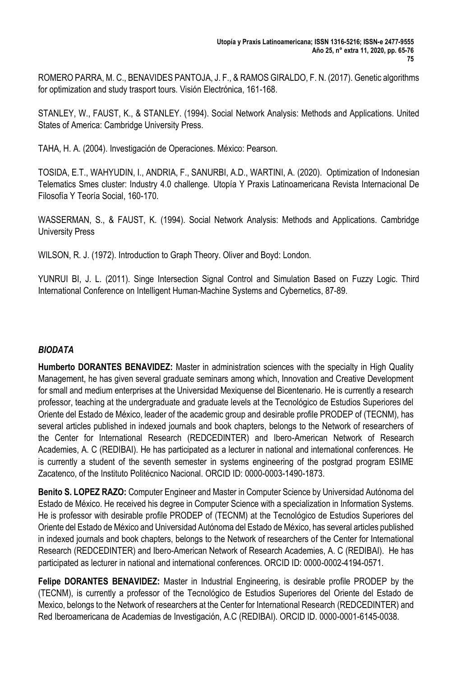ROMERO PARRA, M. C., BENAVIDES PANTOJA, J. F., & RAMOS GIRALDO, F. N. (2017). Genetic algorithms for optimization and study trasport tours. Visión Electrónica, 161-168.

STANLEY, W., FAUST, K., & STANLEY. (1994). Social Network Analysis: Methods and Applications. United States of America: Cambridge University Press.

TAHA, H. A. (2004). Investigación de Operaciones. México: Pearson.

TOSIDA, E.T., WAHYUDIN, I., ANDRIA, F., SANURBI, A.D., WARTINI, A. (2020). Optimization of Indonesian Telematics Smes cluster: Industry 4.0 challenge. Utopía Y Praxis Latinoamericana Revista Internacional De Filosofía Y Teoría Social, 160-170.

WASSERMAN, S., & FAUST, K. (1994). Social Network Analysis: Methods and Applications. Cambridge University Press

WILSON, R. J. (1972). Introduction to Graph Theory. Oliver and Boyd: London.

YUNRUI BI, J. L. (2011). Singe Intersection Signal Control and Simulation Based on Fuzzy Logic. Third International Conference on Intelligent Human-Machine Systems and Cybernetics, 87-89.

# *BIODATA*

**Humberto DORANTES BENAVIDEZ:** Master in administration sciences with the specialty in High Quality Management, he has given several graduate seminars among which, Innovation and Creative Development for small and medium enterprises at the Universidad Mexiquense del Bicentenario. He is currently a research professor, teaching at the undergraduate and graduate levels at the Tecnológico de Estudios Superiores del Oriente del Estado de México, leader of the academic group and desirable profile PRODEP of (TECNM), has several articles published in indexed journals and book chapters, belongs to the Network of researchers of the Center for International Research (REDCEDINTER) and Ibero-American Network of Research Academies, A. C (REDIBAI). He has participated as a lecturer in national and international conferences. He is currently a student of the seventh semester in systems engineering of the postgrad program ESIME Zacatenco, of the Instituto Politécnico Nacional. ORCID ID: 0000-0003-1490-1873.

**Benito S. LOPEZ RAZO:** Computer Engineer and Master in Computer Science by Universidad Autónoma del Estado de México. He received his degree in Computer Science with a specialization in Information Systems. He is professor with desirable profile PRODEP of (TECNM) at the Tecnológico de Estudios Superiores del Oriente del Estado de México and Universidad Autónoma del Estado de México, has several articles published in indexed journals and book chapters, belongs to the Network of researchers of the Center for International Research (REDCEDINTER) and Ibero-American Network of Research Academies, A. C (REDIBAI). He has participated as lecturer in national and international conferences. ORCID ID: 0000-0002-4194-0571.

**Felipe DORANTES BENAVIDEZ:** Master in Industrial Engineering, is desirable profile PRODEP by the (TECNM), is currently a professor of the Tecnológico de Estudios Superiores del Oriente del Estado de Mexico, belongs to the Network of researchers at the Center for International Research (REDCEDINTER) and Red Iberoamericana de Academias de Investigación, A.C (REDIBAI). ORCID ID. 0000-0001-6145-0038.